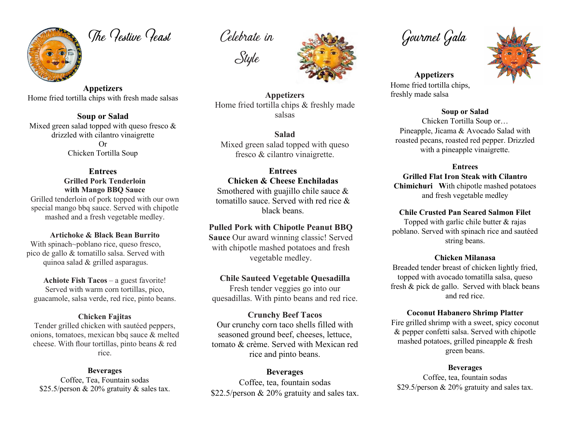

The Pestive Peast

**Appetizers** Home fried tortilla chips with fresh made salsas

**Soup or Salad** Mixed green salad topped with queso fresco & drizzled with cilantro vinaigrette Or Chicken Tortilla Soup

> **Entrees Grilled Pork Tenderloin with Mango BBQ Sauce**

Grilled tenderloin of pork topped with our own special mango bbq sauce. Served with chipotle mashed and a fresh vegetable medley.

**Artichoke & Black Bean Burrito**

With spinach~poblano rice, queso fresco, pico de gallo & tomatillo salsa. Served with quinoa salad & grilled asparagus.

**Achiote Fish Tacos** – a guest favorite! Served with warm corn tortillas, pico, guacamole, salsa verde, red rice, pinto beans.

#### **Chicken Fajitas**

Tender grilled chicken with sautéed peppers, onions, tomatoes, mexican bbq sauce & melted cheese. With flour tortillas, pinto beans & red rice.

#### **Beverages**

Coffee, Tea, Fountain sodas \$25.5/person & 20% gratuity & sales tax.

Celebrate in





**Appetizers** Home fried tortilla chips & freshly made salsas

**Salad** Mixed green salad topped with queso fresco & cilantro vinaigrette.

# **Entrees**

**Chicken & Cheese Enchiladas** Smothered with guajillo chile sauce & tomatillo sauce. Served with red rice & black beans.

## **Pulled Pork with Chipotle Peanut BBQ**

**Sauce** Our award winning classic! Served with chipotle mashed potatoes and fresh vegetable medley.

# **Chile Sauteed Vegetable Quesadilla**

Fresh tender veggies go into our quesadillas. With pinto beans and red rice.

## **Crunchy Beef Tacos**

Our crunchy corn taco shells filled with seasoned ground beef, cheeses, lettuce, tomato & crème. Served with Mexican red rice and pinto beans.

## **Beverages**

Coffee, tea, fountain sodas \$22.5/person & 20% gratuity and sales tax.

Gourmet Gala

**Appetizers** Home fried tortilla chips, freshly made salsa

## **Soup or Salad**

Chicken Tortilla Soup or… Pineapple, Jicama & Avocado Salad with roasted pecans, roasted red pepper. Drizzled with a pineapple vinaigrette.

#### **Entrees**

**Grilled Flat Iron Steak with Cilantro Chimichuri W**ith chipotle mashed potatoes and fresh vegetable medley

# **Chile Crusted Pan Seared Salmon Filet**

Topped with garlic chile butter & rajas poblano. Served with spinach rice and sautéed string beans.

## **Chicken Milanasa**

Breaded tender breast of chicken lightly fried, topped with avocado tomatilla salsa, queso fresh & pick de gallo. Served with black beans and red rice.

## **Coconut Habanero Shrimp Platter**

Fire grilled shrimp with a sweet, spicy coconut & pepper confetti salsa. Served with chipotle mashed potatoes, grilled pineapple & fresh green beans.

## **Beverages**

Coffee, tea, fountain sodas \$29.5/person & 20% gratuity and sales tax.